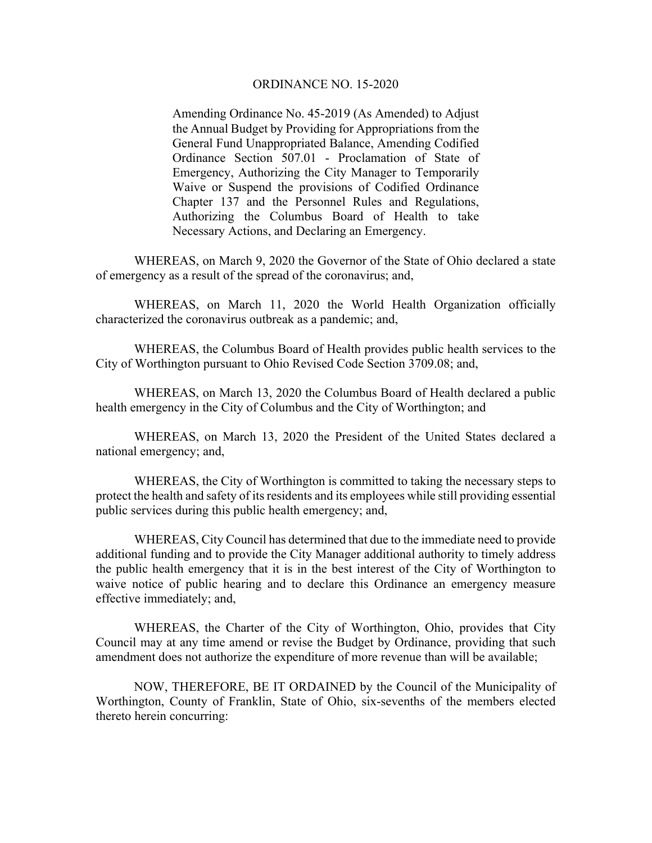## ORDINANCE NO. 15-2020

Amending Ordinance No. 45-2019 (As Amended) to Adjust the Annual Budget by Providing for Appropriations from the General Fund Unappropriated Balance, Amending Codified Ordinance Section 507.01 - Proclamation of State of Emergency, Authorizing the City Manager to Temporarily Waive or Suspend the provisions of Codified Ordinance Chapter 137 and the Personnel Rules and Regulations, Authorizing the Columbus Board of Health to take Necessary Actions, and Declaring an Emergency.

 WHEREAS, on March 9, 2020 the Governor of the State of Ohio declared a state of emergency as a result of the spread of the coronavirus; and,

 WHEREAS, on March 11, 2020 the World Health Organization officially characterized the coronavirus outbreak as a pandemic; and,

WHEREAS, the Columbus Board of Health provides public health services to the City of Worthington pursuant to Ohio Revised Code Section 3709.08; and,

WHEREAS, on March 13, 2020 the Columbus Board of Health declared a public health emergency in the City of Columbus and the City of Worthington; and

WHEREAS, on March 13, 2020 the President of the United States declared a national emergency; and,

 WHEREAS, the City of Worthington is committed to taking the necessary steps to protect the health and safety of its residents and its employees while still providing essential public services during this public health emergency; and,

WHEREAS, City Council has determined that due to the immediate need to provide additional funding and to provide the City Manager additional authority to timely address the public health emergency that it is in the best interest of the City of Worthington to waive notice of public hearing and to declare this Ordinance an emergency measure effective immediately; and,

WHEREAS, the Charter of the City of Worthington, Ohio, provides that City Council may at any time amend or revise the Budget by Ordinance, providing that such amendment does not authorize the expenditure of more revenue than will be available;

 NOW, THEREFORE, BE IT ORDAINED by the Council of the Municipality of Worthington, County of Franklin, State of Ohio, six-sevenths of the members elected thereto herein concurring: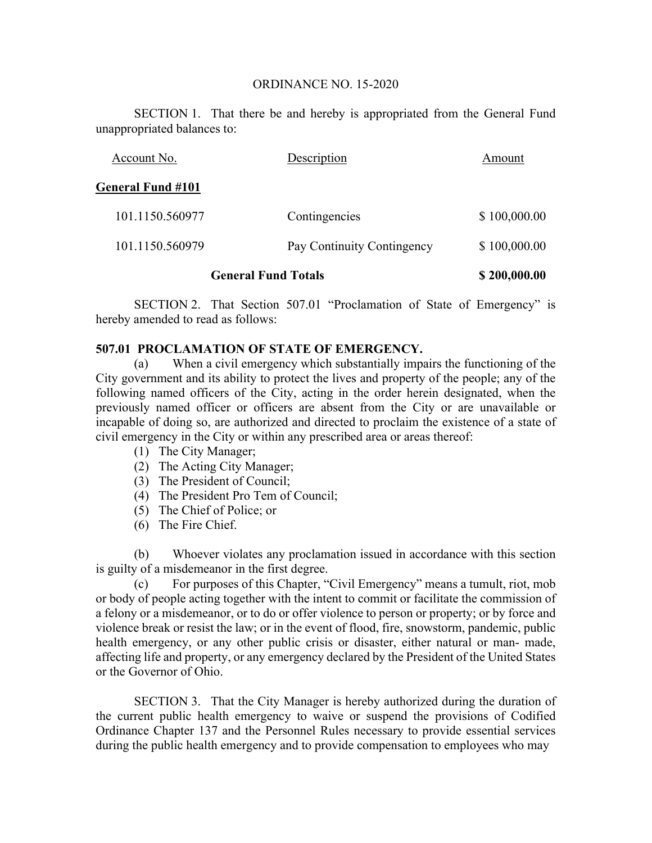## ORDINANCE NO. 15-2020

 SECTION 1. That there be and hereby is appropriated from the General Fund unappropriated balances to:

| Account No.                | Description                | Amount       |
|----------------------------|----------------------------|--------------|
| <b>General Fund #101</b>   |                            |              |
| 101.1150.560977            | Contingencies              | \$100,000.00 |
| 101.1150.560979            | Pay Continuity Contingency | \$100,000.00 |
| <b>General Fund Totals</b> |                            | \$200,000.00 |

SECTION 2. That Section 507.01 "Proclamation of State of Emergency" is hereby amended to read as follows:

## **507.01 PROCLAMATION OF STATE OF EMERGENCY.**

(a) When a civil emergency which substantially impairs the functioning of the City government and its ability to protect the lives and property of the people; any of the following named officers of the City, acting in the order herein designated, when the previously named officer or officers are absent from the City or are unavailable or incapable of doing so, are authorized and directed to proclaim the existence of a state of civil emergency in the City or within any prescribed area or areas thereof:

- (1) The City Manager;
- (2) The Acting City Manager;
- (3) The President of Council;
- (4) The President Pro Tem of Council;
- (5) The Chief of Police; or
- (6) The Fire Chief.

(b) Whoever violates any proclamation issued in accordance with this section is guilty of a misdemeanor in the first degree.

(c) For purposes of this Chapter, "Civil Emergency" means a tumult, riot, mob or body of people acting together with the intent to commit or facilitate the commission of a felony or a misdemeanor, or to do or offer violence to person or property; or by force and violence break or resist the law; or in the event of flood, fire, snowstorm, pandemic, public health emergency, or any other public crisis or disaster, either natural or man- made, affecting life and property, or any emergency declared by the President of the United States or the Governor of Ohio.

SECTION 3. That the City Manager is hereby authorized during the duration of the current public health emergency to waive or suspend the provisions of Codified Ordinance Chapter 137 and the Personnel Rules necessary to provide essential services during the public health emergency and to provide compensation to employees who may